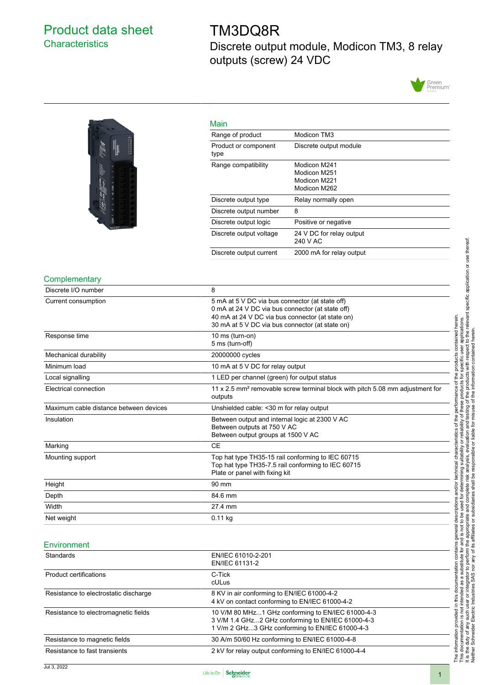# <span id="page-0-0"></span>Product data sheet **Characteristics**

# TM3DQ8R

Discrete output module, Modicon TM3, 8 relay outputs (screw) 24 VDC





|                                        | Main                                                                                                                                                                                                       |                                                              |  |
|----------------------------------------|------------------------------------------------------------------------------------------------------------------------------------------------------------------------------------------------------------|--------------------------------------------------------------|--|
|                                        | Range of product                                                                                                                                                                                           | Modicon TM3                                                  |  |
|                                        | Product or component<br>type                                                                                                                                                                               | Discrete output module                                       |  |
|                                        | Range compatibility                                                                                                                                                                                        | Modicon M241<br>Modicon M251<br>Modicon M221<br>Modicon M262 |  |
|                                        | Discrete output type                                                                                                                                                                                       | Relay normally open                                          |  |
|                                        | Discrete output number                                                                                                                                                                                     | 8                                                            |  |
|                                        | Discrete output logic                                                                                                                                                                                      | Positive or negative                                         |  |
|                                        | Discrete output voltage                                                                                                                                                                                    | 24 V DC for relay output<br>240 V AC                         |  |
|                                        | Discrete output current                                                                                                                                                                                    | 2000 mA for relay output                                     |  |
| Complementary                          |                                                                                                                                                                                                            |                                                              |  |
| Discrete I/O number                    | 8                                                                                                                                                                                                          |                                                              |  |
| Current consumption                    | 5 mA at 5 V DC via bus connector (at state off)<br>0 mA at 24 V DC via bus connector (at state off)<br>40 mA at 24 V DC via bus connector (at state on)<br>30 mA at 5 V DC via bus connector (at state on) |                                                              |  |
| Response time                          | 10 ms (turn-on)<br>5 ms (turn-off)                                                                                                                                                                         |                                                              |  |
| Mechanical durability                  | 20000000 cycles                                                                                                                                                                                            |                                                              |  |
| Minimum load                           | 10 mA at 5 V DC for relay output                                                                                                                                                                           |                                                              |  |
| Local signalling                       | 1 LED per channel (green) for output status                                                                                                                                                                |                                                              |  |
| Electrical connection                  | 11 x 2.5 mm <sup>2</sup> removable screw terminal block with pitch 5.08 mm adjustment for<br>outputs                                                                                                       |                                                              |  |
| Maximum cable distance between devices | Unshielded cable: < 30 m for relay output                                                                                                                                                                  |                                                              |  |
| Insulation                             | Between output and internal logic at 2300 V AC                                                                                                                                                             |                                                              |  |

# the performance of the products contained herein.<br>Y of these products for specific user applications.<br>Insuse of the information contained herein specific application or use thereof.<br>misuse of the information contained here It is the duty of any such user or integrator to perform the appropriate and complete risk analysis, evaluation and testing of the products with respect to the relevant specific application or use thereof. The information provided in this documentation contains general descriptions and/or technical characteristics of the performance of the products contained herein. This documentation is not intended as a substitute for and is not to be used for determining suitability or reliability of these products for specific user applications. Neither Schneider Electric Industries SAS nor any of its affiliates or subsidiaries shall be responsible or liable for misuse of the information contained herein. technical characteristics of the used for determining suitability or reliability<br>and complete risk analysis, evaluation and to<br>bsidiaries shall be responsible or liable for m and/or t This documentation is not intended as a substitute for and is not to be used for d<br>It is the duty of any such user or integrator to perform the appropriate and compl<br>Neither Schneider Electric Industries SAS nor any of its contains general descriptions documentation The information provided in this

| Environment |  |
|-------------|--|

Marking CE

Height 90 mm Depth 84.6 mm Width 27.4 mm Net weight **0.11 kg** 

| Standards                             | EN/IEC 61010-2-201<br>EN/IEC 61131-2                                                                                                                      |  |
|---------------------------------------|-----------------------------------------------------------------------------------------------------------------------------------------------------------|--|
| Product certifications                | C-Tick<br>cULus                                                                                                                                           |  |
| Resistance to electrostatic discharge | 8 KV in air conforming to EN/IEC 61000-4-2<br>4 kV on contact conforming to EN/IEC 61000-4-2                                                              |  |
| Resistance to electromagnetic fields  | 10 V/M 80 MHz1 GHz conforming to EN/IEC 61000-4-3<br>3 V/M 1.4 GHz2 GHz conforming to EN/IEC 61000-4-3<br>1 V/m 2 GHz3 GHz conforming to EN/IEC 61000-4-3 |  |
| Resistance to magnetic fields         | 30 A/m 50/60 Hz conforming to EN/IEC 61000-4-8                                                                                                            |  |
| Resistance to fast transients         | 2 kV for relay output conforming to EN/IEC 61000-4-4                                                                                                      |  |

Between outputs at 750 V AC Between output groups at 1500 V AC

Plate or panel with fixing kit

Top hat type TH35-7.5 rail conforming to IEC 60715

Mounting support Top hat type TH35-15 rail conforming to IEC 60715

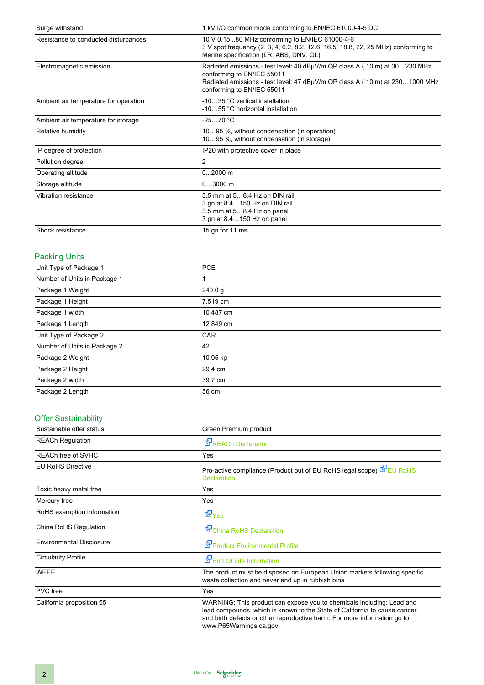| Surge withstand                       | 1 kV I/O common mode conforming to EN/IEC 61000-4-5 DC                                                                                                                                                               |  |
|---------------------------------------|----------------------------------------------------------------------------------------------------------------------------------------------------------------------------------------------------------------------|--|
| Resistance to conducted disturbances  | 10 V 0.1580 MHz conforming to EN/IEC 61000-4-6<br>3 V spot frequency (2, 3, 4, 6.2, 8.2, 12.6, 16.5, 18.8, 22, 25 MHz) conforming to<br>Marine specification (LR, ABS, DNV, GL)                                      |  |
| Electromagnetic emission              | Radiated emissions - test level: 40 dBµV/m QP class A (10 m) at 30230 MHz<br>conforming to EN/IEC 55011<br>Radiated emissions - test level: 47 dBµV/m QP class A (10 m) at 2301000 MHz<br>conforming to EN/IEC 55011 |  |
| Ambient air temperature for operation | -1035 °C vertical installation<br>-1055 °C horizontal installation                                                                                                                                                   |  |
| Ambient air temperature for storage   | $-2570 °C$                                                                                                                                                                                                           |  |
| Relative humidity                     | 1095 %, without condensation (in operation)<br>1095 %, without condensation (in storage)                                                                                                                             |  |
| IP degree of protection               | IP20 with protective cover in place                                                                                                                                                                                  |  |
| Pollution degree                      | $\overline{2}$                                                                                                                                                                                                       |  |
| Operating altitude                    | $02000$ m                                                                                                                                                                                                            |  |
| Storage altitude                      | $03000$ m                                                                                                                                                                                                            |  |
| Vibration resistance                  | 3.5 mm at 58.4 Hz on DIN rail<br>3 gn at 8.4150 Hz on DIN rail<br>3.5 mm at 58.4 Hz on panel<br>3 gn at 8.4150 Hz on panel                                                                                           |  |
| Shock resistance                      | 15 gn for 11 ms                                                                                                                                                                                                      |  |

### Packing Units

| Unit Type of Package 1       | <b>PCE</b> |  |
|------------------------------|------------|--|
| Number of Units in Package 1 | 1          |  |
| Package 1 Weight             | 240.0 g    |  |
| Package 1 Height             | 7.519 cm   |  |
| Package 1 width              | 10.487 cm  |  |
| Package 1 Length             | 12.849 cm  |  |
| Unit Type of Package 2       | <b>CAR</b> |  |
| Number of Units in Package 2 | 42         |  |
| Package 2 Weight             | 10.95 kg   |  |
| Package 2 Height             | 29.4 cm    |  |
| Package 2 width              | 39.7 cm    |  |
| Package 2 Length             | 56 cm      |  |
|                              |            |  |

## Offer Sustainability

| Sustainable offer status        | Green Premium product                                                                                                                                                                                                                                    |  |
|---------------------------------|----------------------------------------------------------------------------------------------------------------------------------------------------------------------------------------------------------------------------------------------------------|--|
| <b>REACh Regulation</b>         | <b>E</b> <sup>I</sup> REACh Declaration                                                                                                                                                                                                                  |  |
| REACh free of SVHC              | <b>Yes</b>                                                                                                                                                                                                                                               |  |
| <b>EU RoHS Directive</b>        | Pro-active compliance (Product out of EU RoHS legal scope) EPEU RoHS<br><b>Declaration</b>                                                                                                                                                               |  |
| Toxic heavy metal free          | Yes                                                                                                                                                                                                                                                      |  |
| Mercury free                    | Yes                                                                                                                                                                                                                                                      |  |
| RoHS exemption information      | d Yes                                                                                                                                                                                                                                                    |  |
| China RoHS Regulation           | China RoHS Declaration                                                                                                                                                                                                                                   |  |
| <b>Environmental Disclosure</b> | Product Environmental Profile                                                                                                                                                                                                                            |  |
| <b>Circularity Profile</b>      | End Of Life Information                                                                                                                                                                                                                                  |  |
| <b>WEEE</b>                     | The product must be disposed on European Union markets following specific<br>waste collection and never end up in rubbish bins                                                                                                                           |  |
| <b>PVC</b> free                 | Yes                                                                                                                                                                                                                                                      |  |
| California proposition 65       | WARNING: This product can expose you to chemicals including: Lead and<br>lead compounds, which is known to the State of California to cause cancer<br>and birth defects or other reproductive harm. For more information go to<br>www.P65Warnings.ca.gov |  |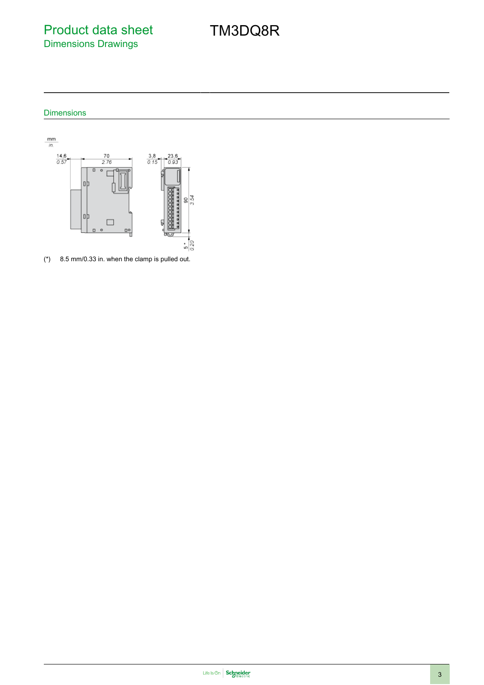Product data sheet Dimensions Drawings

TM3DQ8R

#### Dimensions



(\*) 8.5 mm/0.33 in. when the clamp is pulled out.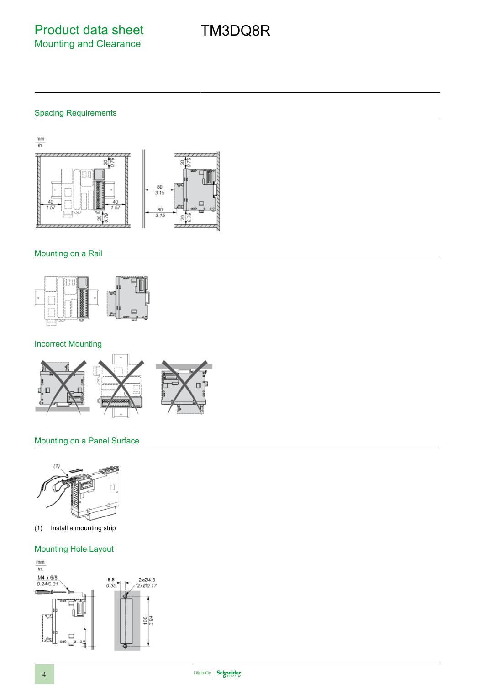#### Spacing Requirements

 $\frac{mm}{in.}$ 긲  $\overline{111}$  $\mathbb{Z}$ g  $\frac{80}{3.15}$ 80  $3.15$ 20  $\mathcal{R}$  $\frac{1}{2}$ 

#### Mounting on a Rail



#### Incorrect Mounting



#### Mounting on a Panel Surface



(1) Install a mounting strip

#### Mounting Hole Layout